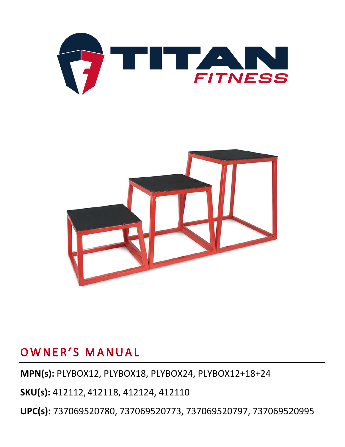



**MPN(s):** PLYBOX12, PLYBOX18, PLYBOX24, PLYBOX12+18+24

**SKU(s):** 412112, 412118, 412124, 412110

**UPC(s):** 737069520780, 737069520773, 737069520797, 737069520995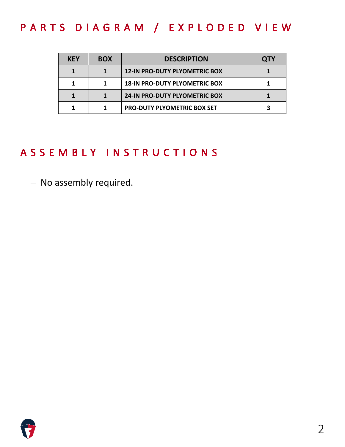# PARTS DIAGRAM / EXPLODED VIEW

| <b>KEY</b> | <b>BOX</b> | <b>DESCRIPTION</b>                   | <b>QTY</b> |
|------------|------------|--------------------------------------|------------|
|            |            | <b>12-IN PRO-DUTY PLYOMETRIC BOX</b> |            |
|            |            | <b>18-IN PRO-DUTY PLYOMETRIC BOX</b> |            |
|            |            | <b>24-IN PRO-DUTY PLYOMETRIC BOX</b> |            |
|            |            | <b>PRO-DUTY PLYOMETRIC BOX SET</b>   |            |

# ASSEMBLY INSTRUCTIONS

− No assembly required.